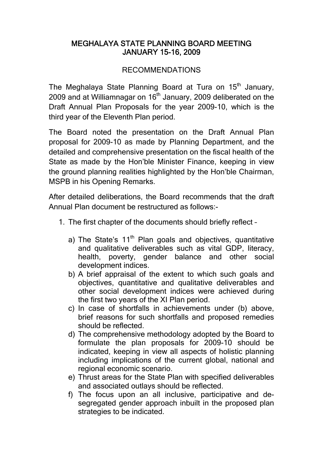## MEGHALAYA STATE PLANNING BOARD MEETING JANUARY 15-16, 2009

## RECOMMENDATIONS

The Meghalaya State Planning Board at Tura on 15<sup>th</sup> January, 2009 and at Williamnagar on 16<sup>th</sup> January, 2009 deliberated on the Draft Annual Plan Proposals for the year 2009-10, which is the third year of the Eleventh Plan period.

The Board noted the presentation on the Draft Annual Plan proposal for 2009-10 as made by Planning Department, and the detailed and comprehensive presentation on the fiscal health of the State as made by the Hon'ble Minister Finance, keeping in view the ground planning realities highlighted by the Hon'ble Chairman, MSPB in his Opening Remarks.

After detailed deliberations, the Board recommends that the draft Annual Plan document be restructured as follows:-

- 1. The first chapter of the documents should briefly reflect
	- a) The State's  $11<sup>th</sup>$  Plan goals and objectives, quantitative and qualitative deliverables such as vital GDP, literacy, health, poverty, gender balance and other social development indices.
	- b) A brief appraisal of the extent to which such goals and objectives, quantitative and qualitative deliverables and other social development indices were achieved during the first two years of the XI Plan period.
	- c) In case of shortfalls in achievements under (b) above, brief reasons for such shortfalls and proposed remedies should be reflected.
	- d) The comprehensive methodology adopted by the Board to formulate the plan proposals for 2009-10 should be indicated, keeping in view all aspects of holistic planning including implications of the current global, national and regional economic scenario.
	- e) Thrust areas for the State Plan with specified deliverables and associated outlays should be reflected.
	- f) The focus upon an all inclusive, participative and desegregated gender approach inbuilt in the proposed plan strategies to be indicated.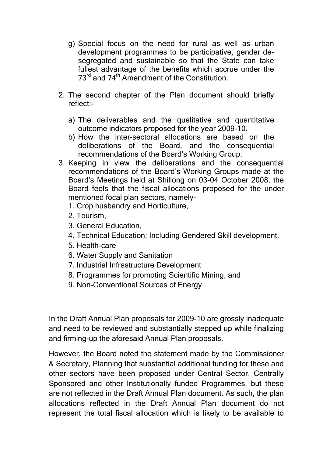- g) Special focus on the need for rural as well as urban development programmes to be participative, gender desegregated and sustainable so that the State can take fullest advantage of the benefits which accrue under the 73<sup>rd</sup> and 74<sup>th</sup> Amendment of the Constitution.
- 2. The second chapter of the Plan document should briefly reflect:
	- a) The deliverables and the qualitative and quantitative outcome indicators proposed for the year 2009-10.
	- b) How the inter-sectoral allocations are based on the deliberations of the Board, and the consequential recommendations of the Board's Working Group.
- 3. Keeping in view the deliberations and the consequential recommendations of the Board's Working Groups made at the Board's Meetings held at Shillong on 03-04 October 2008, the Board feels that the fiscal allocations proposed for the under mentioned focal plan sectors, namely-
	- 1. Crop husbandry and Horticulture,
	- 2. Tourism,
	- 3. General Education,
	- 4. Technical Education: Including Gendered Skill development.
	- 5. Health-care
	- 6. Water Supply and Sanitation
	- 7. Industrial Infrastructure Development
	- 8. Programmes for promoting Scientific Mining, and
	- 9. Non-Conventional Sources of Energy

In the Draft Annual Plan proposals for 2009-10 are grossly inadequate and need to be reviewed and substantially stepped up while finalizing and firming-up the aforesaid Annual Plan proposals.

However, the Board noted the statement made by the Commissioner & Secretary, Planning that substantial additional funding for these and other sectors have been proposed under Central Sector, Centrally Sponsored and other Institutionally funded Programmes, but these are not reflected in the Draft Annual Plan document. As such, the plan allocations reflected in the Draft Annual Plan document do not represent the total fiscal allocation which is likely to be available to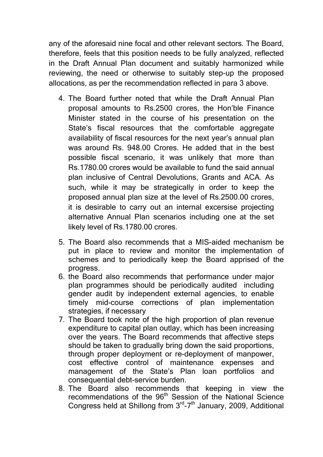any of the aforesaid nine focal and other relevant sectors. The Board, therefore, feels that this position needs to be fully analyzed, reflected in the Draft Annual Plan document and suitably harmonized while reviewing, the need or otherwise to suitably step-up the proposed allocations, as per the recommendation reflected in para 3 above.

- 4. The Board further noted that while the Draft Annual Plan proposal amounts to Rs.2500 crores, the Hon'ble Finance Minister stated in the course of his presentation on the State's fiscal resources that the comfortable aggregate availability of fiscal resources for the next year's annual plan was around Rs. 948.00 Crores. He added that in the best possible fiscal scenario, it was unlikely that more than Rs.1780.00 crores would be available to fund the said annual plan inclusive of Central Devolutions, Grants and ACA. As such, while it may be strategically in order to keep the proposed annual plan size at the level of Rs.2500.00 crores, it is desirable to carry out an internal excersise projecting alternative Annual Plan scenarios including one at the set likely level of Rs.1780.00 crores.
- 5. The Board also recommends that a MIS-aided mechanism be put in place to review and monitor the implementation of schemes and to periodically keep the Board apprised of the progress.
- 6. the Board also recommends that performance under major plan programmes should be periodically audited including gender audit by independent external agencies, to enable timely mid-course corrections of plan implementation strategies, if necessary
- 7. The Board took note of the high proportion of plan revenue expenditure to capital plan outlay, which has been increasing over the years. The Board recommends that affective steps should be taken to gradually bring down the said proportions, through proper deployment or re-deployment of manpower, cost effective control of maintenance expenses and management of the State's Plan loan portfolios and consequential debt-service burden.
- 8. The Board also recommends that keeping in view the recommendations of the 96<sup>th</sup> Session of the National Science Congress held at Shillong from 3<sup>rd</sup>-7<sup>th</sup> January, 2009, Additional